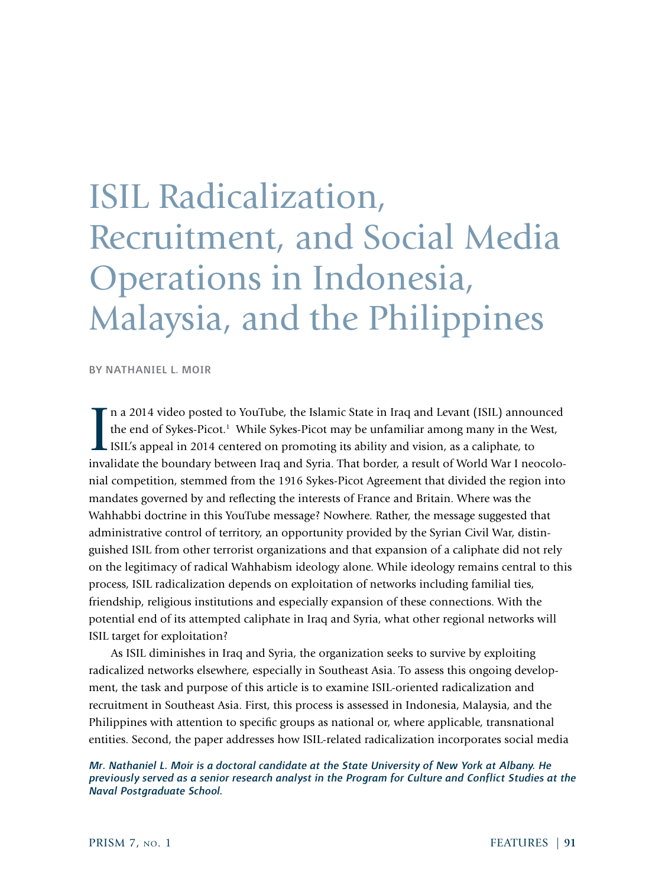# ISIL Radicalization, Recruitment, and Social Media Operations in Indonesia, Malaysia, and the Philippines

BY NATHANIEL L. MOIR

In a 2014 video posted to YouTube, the Islamic State in Iraq and Levant (ISIL) announced<br>the end of Sykes-Picot.<sup>1</sup> While Sykes-Picot may be unfamiliar among many in the West,<br>ISIL's appeal in 2014 centered on promoting it n a 2014 video posted to YouTube, the Islamic State in Iraq and Levant (ISIL) announced the end of Sykes-Picot.<sup>1</sup> While Sykes-Picot may be unfamiliar among many in the West, ISIL's appeal in 2014 centered on promoting its ability and vision, as a caliphate, to nial competition, stemmed from the 1916 Sykes-Picot Agreement that divided the region into mandates governed by and reflecting the interests of France and Britain. Where was the Wahhabbi doctrine in this YouTube message? Nowhere. Rather, the message suggested that administrative control of territory, an opportunity provided by the Syrian Civil War, distinguished ISIL from other terrorist organizations and that expansion of a caliphate did not rely on the legitimacy of radical Wahhabism ideology alone. While ideology remains central to this process, ISIL radicalization depends on exploitation of networks including familial ties, friendship, religious institutions and especially expansion of these connections. With the potential end of its attempted caliphate in Iraq and Syria, what other regional networks will ISIL target for exploitation?

As ISIL diminishes in Iraq and Syria, the organization seeks to survive by exploiting radicalized networks elsewhere, especially in Southeast Asia. To assess this ongoing development, the task and purpose of this article is to examine ISIL-oriented radicalization and recruitment in Southeast Asia. First, this process is assessed in Indonesia, Malaysia, and the Philippines with attention to specific groups as national or, where applicable, transnational entities. Second, the paper addresses how ISIL-related radicalization incorporates social media

*Mr. Nathaniel L. Moir is a doctoral candidate at the State University of New York at Albany. He previously served as a senior research analyst in the Program for Culture and Conflict Studies at the Naval Postgraduate School.*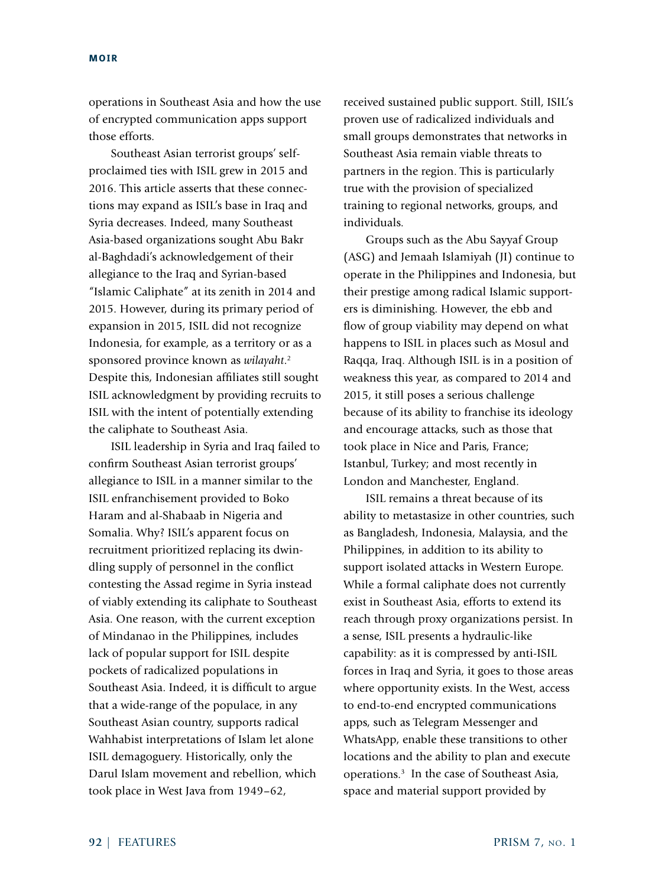operations in Southeast Asia and how the use of encrypted communication apps support those efforts.

Southeast Asian terrorist groups' selfproclaimed ties with ISIL grew in 2015 and 2016. This article asserts that these connections may expand as ISIL's base in Iraq and Syria decreases. Indeed, many Southeast Asia-based organizations sought Abu Bakr al-Baghdadi's acknowledgement of their allegiance to the Iraq and Syrian-based "Islamic Caliphate" at its zenith in 2014 and 2015. However, during its primary period of expansion in 2015, ISIL did not recognize Indonesia, for example, as a territory or as a sponsored province known as *wilayaht*. 2 Despite this, Indonesian affiliates still sought ISIL acknowledgment by providing recruits to ISIL with the intent of potentially extending the caliphate to Southeast Asia.

ISIL leadership in Syria and Iraq failed to confirm Southeast Asian terrorist groups' allegiance to ISIL in a manner similar to the ISIL enfranchisement provided to Boko Haram and al-Shabaab in Nigeria and Somalia. Why? ISIL's apparent focus on recruitment prioritized replacing its dwindling supply of personnel in the conflict contesting the Assad regime in Syria instead of viably extending its caliphate to Southeast Asia. One reason, with the current exception of Mindanao in the Philippines, includes lack of popular support for ISIL despite pockets of radicalized populations in Southeast Asia. Indeed, it is difficult to argue that a wide-range of the populace, in any Southeast Asian country, supports radical Wahhabist interpretations of Islam let alone ISIL demagoguery. Historically, only the Darul Islam movement and rebellion, which took place in West Java from 1949–62,

received sustained public support. Still, ISIL's proven use of radicalized individuals and small groups demonstrates that networks in Southeast Asia remain viable threats to partners in the region. This is particularly true with the provision of specialized training to regional networks, groups, and individuals.

Groups such as the Abu Sayyaf Group (ASG) and Jemaah Islamiyah (JI) continue to operate in the Philippines and Indonesia, but their prestige among radical Islamic supporters is diminishing. However, the ebb and flow of group viability may depend on what happens to ISIL in places such as Mosul and Raqqa, Iraq. Although ISIL is in a position of weakness this year, as compared to 2014 and 2015, it still poses a serious challenge because of its ability to franchise its ideology and encourage attacks, such as those that took place in Nice and Paris, France; Istanbul, Turkey; and most recently in London and Manchester, England.

ISIL remains a threat because of its ability to metastasize in other countries, such as Bangladesh, Indonesia, Malaysia, and the Philippines, in addition to its ability to support isolated attacks in Western Europe. While a formal caliphate does not currently exist in Southeast Asia, efforts to extend its reach through proxy organizations persist. In a sense, ISIL presents a hydraulic-like capability: as it is compressed by anti-ISIL forces in Iraq and Syria, it goes to those areas where opportunity exists. In the West, access to end-to-end encrypted communications apps, such as Telegram Messenger and WhatsApp, enable these transitions to other locations and the ability to plan and execute operations.3 In the case of Southeast Asia, space and material support provided by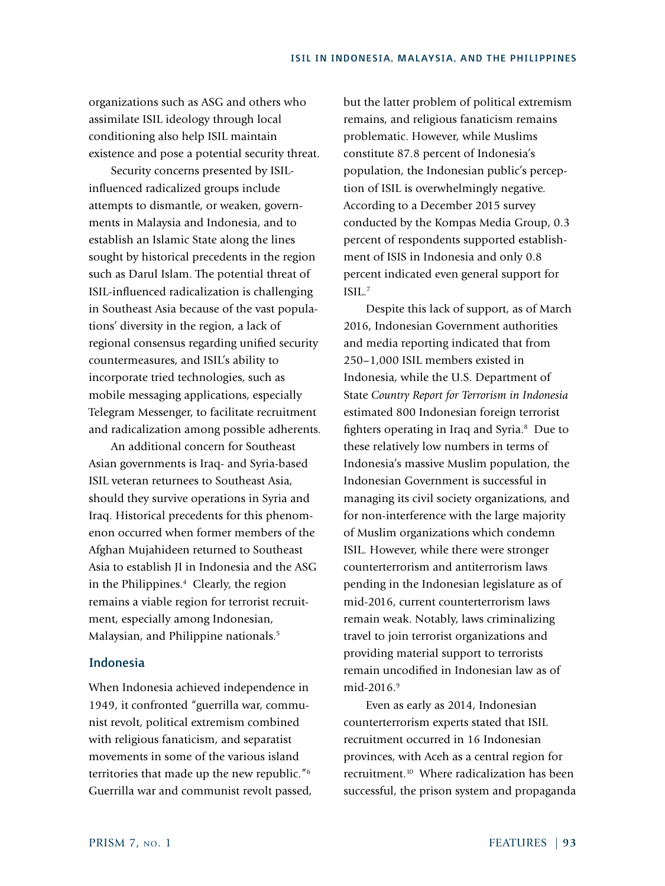organizations such as ASG and others who assimilate ISIL ideology through local conditioning also help ISIL maintain existence and pose a potential security threat.

Security concerns presented by ISILinfluenced radicalized groups include attempts to dismantle, or weaken, governments in Malaysia and Indonesia, and to establish an Islamic State along the lines sought by historical precedents in the region such as Darul Islam. The potential threat of ISIL-influenced radicalization is challenging in Southeast Asia because of the vast populations' diversity in the region, a lack of regional consensus regarding unified security countermeasures, and ISIL's ability to incorporate tried technologies, such as mobile messaging applications, especially Telegram Messenger, to facilitate recruitment and radicalization among possible adherents.

An additional concern for Southeast Asian governments is Iraq- and Syria-based ISIL veteran returnees to Southeast Asia, should they survive operations in Syria and Iraq. Historical precedents for this phenomenon occurred when former members of the Afghan Mujahideen returned to Southeast Asia to establish JI in Indonesia and the ASG in the Philippines.<sup>4</sup> Clearly, the region remains a viable region for terrorist recruitment, especially among Indonesian, Malaysian, and Philippine nationals.<sup>5</sup>

# Indonesia

When Indonesia achieved independence in 1949, it confronted "guerrilla war, communist revolt, political extremism combined with religious fanaticism, and separatist movements in some of the various island territories that made up the new republic."6 Guerrilla war and communist revolt passed, but the latter problem of political extremism remains, and religious fanaticism remains problematic. However, while Muslims constitute 87.8 percent of Indonesia's population, the Indonesian public's perception of ISIL is overwhelmingly negative. According to a December 2015 survey conducted by the Kompas Media Group, 0.3 percent of respondents supported establishment of ISIS in Indonesia and only 0.8 percent indicated even general support for ISIL.7

Despite this lack of support, as of March 2016, Indonesian Government authorities and media reporting indicated that from 250–1,000 ISIL members existed in Indonesia, while the U.S. Department of State *Country Report for Terrorism in Indonesia* estimated 800 Indonesian foreign terrorist fighters operating in Iraq and Syria.<sup>8</sup> Due to these relatively low numbers in terms of Indonesia's massive Muslim population, the Indonesian Government is successful in managing its civil society organizations, and for non-interference with the large majority of Muslim organizations which condemn ISIL. However, while there were stronger counterterrorism and antiterrorism laws pending in the Indonesian legislature as of mid-2016, current counterterrorism laws remain weak. Notably, laws criminalizing travel to join terrorist organizations and providing material support to terrorists remain uncodified in Indonesian law as of mid-2016.<sup>9</sup>

Even as early as 2014, Indonesian counterterrorism experts stated that ISIL recruitment occurred in 16 Indonesian provinces, with Aceh as a central region for recruitment.<sup>10</sup> Where radicalization has been successful, the prison system and propaganda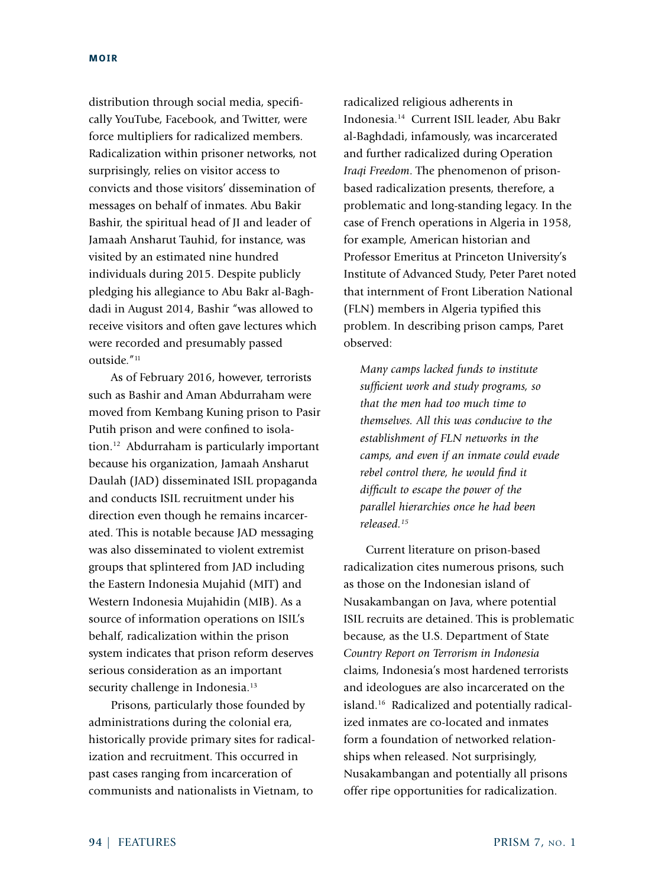distribution through social media, specifically YouTube, Facebook, and Twitter, were force multipliers for radicalized members. Radicalization within prisoner networks, not surprisingly, relies on visitor access to convicts and those visitors' dissemination of messages on behalf of inmates. Abu Bakir Bashir, the spiritual head of JI and leader of Jamaah Ansharut Tauhid, for instance, was visited by an estimated nine hundred individuals during 2015. Despite publicly pledging his allegiance to Abu Bakr al-Baghdadi in August 2014, Bashir "was allowed to receive visitors and often gave lectures which were recorded and presumably passed outside."<sup>11</sup>

As of February 2016, however, terrorists such as Bashir and Aman Abdurraham were moved from Kembang Kuning prison to Pasir Putih prison and were confined to isolation.12 Abdurraham is particularly important because his organization, Jamaah Ansharut Daulah (JAD) disseminated ISIL propaganda and conducts ISIL recruitment under his direction even though he remains incarcerated. This is notable because JAD messaging was also disseminated to violent extremist groups that splintered from JAD including the Eastern Indonesia Mujahid (MIT) and Western Indonesia Mujahidin (MIB). As a source of information operations on ISIL's behalf, radicalization within the prison system indicates that prison reform deserves serious consideration as an important security challenge in Indonesia.<sup>13</sup>

Prisons, particularly those founded by administrations during the colonial era, historically provide primary sites for radicalization and recruitment. This occurred in past cases ranging from incarceration of communists and nationalists in Vietnam, to

radicalized religious adherents in Indonesia.14 Current ISIL leader, Abu Bakr al-Baghdadi, infamously, was incarcerated and further radicalized during Operation *Iraqi Freedom*. The phenomenon of prisonbased radicalization presents, therefore, a problematic and long-standing legacy. In the case of French operations in Algeria in 1958, for example, American historian and Professor Emeritus at Princeton University's Institute of Advanced Study, Peter Paret noted that internment of Front Liberation National (FLN) members in Algeria typified this problem. In describing prison camps, Paret observed:

*Many camps lacked funds to institute sufficient work and study programs, so that the men had too much time to themselves. All this was conducive to the establishment of FLN networks in the camps, and even if an inmate could evade rebel control there, he would find it difficult to escape the power of the parallel hierarchies once he had been released.15*

Current literature on prison-based radicalization cites numerous prisons, such as those on the Indonesian island of Nusakambangan on Java, where potential ISIL recruits are detained. This is problematic because, as the U.S. Department of State *Country Report on Terrorism in Indonesia* claims, Indonesia's most hardened terrorists and ideologues are also incarcerated on the island.16 Radicalized and potentially radicalized inmates are co-located and inmates form a foundation of networked relationships when released. Not surprisingly, Nusakambangan and potentially all prisons offer ripe opportunities for radicalization.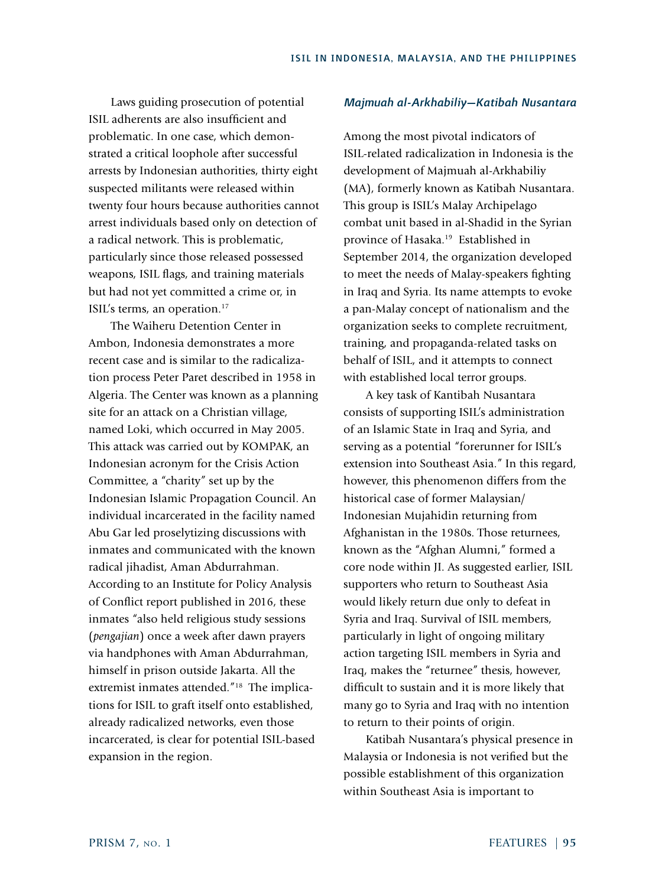Laws guiding prosecution of potential ISIL adherents are also insufficient and problematic. In one case, which demonstrated a critical loophole after successful arrests by Indonesian authorities, thirty eight suspected militants were released within twenty four hours because authorities cannot arrest individuals based only on detection of a radical network. This is problematic, particularly since those released possessed weapons, ISIL flags, and training materials but had not yet committed a crime or, in ISIL's terms, an operation.17

The Waiheru Detention Center in Ambon, Indonesia demonstrates a more recent case and is similar to the radicalization process Peter Paret described in 1958 in Algeria. The Center was known as a planning site for an attack on a Christian village, named Loki, which occurred in May 2005. This attack was carried out by KOMPAK, an Indonesian acronym for the Crisis Action Committee, a "charity" set up by the Indonesian Islamic Propagation Council. An individual incarcerated in the facility named Abu Gar led proselytizing discussions with inmates and communicated with the known radical jihadist, Aman Abdurrahman. According to an Institute for Policy Analysis of Conflict report published in 2016, these inmates "also held religious study sessions (*pengajian*) once a week after dawn prayers via handphones with Aman Abdurrahman, himself in prison outside Jakarta. All the extremist inmates attended."18 The implications for ISIL to graft itself onto established, already radicalized networks, even those incarcerated, is clear for potential ISIL-based expansion in the region.

## *Majmuah al-Arkhabiliy—Katibah Nusantara*

Among the most pivotal indicators of ISIL-related radicalization in Indonesia is the development of Majmuah al-Arkhabiliy (MA), formerly known as Katibah Nusantara. This group is ISIL's Malay Archipelago combat unit based in al-Shadid in the Syrian province of Hasaka.19 Established in September 2014, the organization developed to meet the needs of Malay-speakers fighting in Iraq and Syria. Its name attempts to evoke a pan-Malay concept of nationalism and the organization seeks to complete recruitment, training, and propaganda-related tasks on behalf of ISIL, and it attempts to connect with established local terror groups.

A key task of Kantibah Nusantara consists of supporting ISIL's administration of an Islamic State in Iraq and Syria, and serving as a potential "forerunner for ISIL's extension into Southeast Asia." In this regard, however, this phenomenon differs from the historical case of former Malaysian/ Indonesian Mujahidin returning from Afghanistan in the 1980s. Those returnees, known as the "Afghan Alumni," formed a core node within JI. As suggested earlier, ISIL supporters who return to Southeast Asia would likely return due only to defeat in Syria and Iraq. Survival of ISIL members, particularly in light of ongoing military action targeting ISIL members in Syria and Iraq, makes the "returnee" thesis, however, difficult to sustain and it is more likely that many go to Syria and Iraq with no intention to return to their points of origin.

Katibah Nusantara's physical presence in Malaysia or Indonesia is not verified but the possible establishment of this organization within Southeast Asia is important to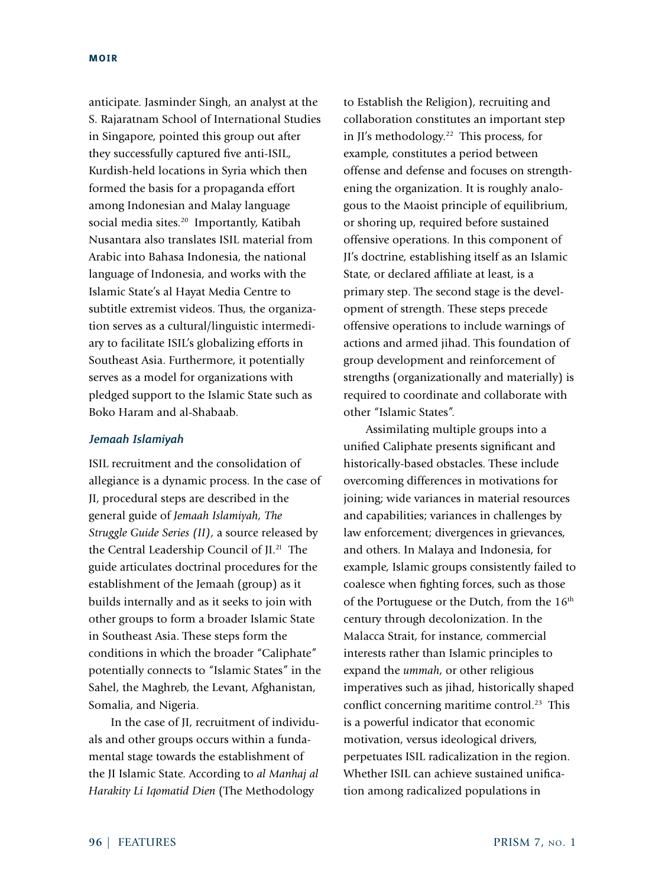anticipate. Jasminder Singh, an analyst at the S. Rajaratnam School of International Studies in Singapore, pointed this group out after they successfully captured five anti-ISIL, Kurdish-held locations in Syria which then formed the basis for a propaganda effort among Indonesian and Malay language social media sites.<sup>20</sup> Importantly, Katibah Nusantara also translates ISIL material from Arabic into Bahasa Indonesia, the national language of Indonesia, and works with the Islamic State's al Hayat Media Centre to subtitle extremist videos. Thus, the organization serves as a cultural/linguistic intermediary to facilitate ISIL's globalizing efforts in Southeast Asia. Furthermore, it potentially serves as a model for organizations with pledged support to the Islamic State such as Boko Haram and al-Shabaab.

## *Jemaah Islamiyah*

ISIL recruitment and the consolidation of allegiance is a dynamic process. In the case of JI, procedural steps are described in the general guide of *Jemaah Islamiyah, The Struggle Guide Series (II)*, a source released by the Central Leadership Council of JI.21 The guide articulates doctrinal procedures for the establishment of the Jemaah (group) as it builds internally and as it seeks to join with other groups to form a broader Islamic State in Southeast Asia. These steps form the conditions in which the broader "Caliphate" potentially connects to "Islamic States" in the Sahel, the Maghreb, the Levant, Afghanistan, Somalia, and Nigeria.

In the case of JI, recruitment of individuals and other groups occurs within a fundamental stage towards the establishment of the JI Islamic State. According to *al Manhaj al Harakity Li Iqomatid Dien* (The Methodology

to Establish the Religion), recruiting and collaboration constitutes an important step in JI's methodology.22 This process, for example, constitutes a period between offense and defense and focuses on strengthening the organization. It is roughly analogous to the Maoist principle of equilibrium, or shoring up, required before sustained offensive operations. In this component of JI's doctrine, establishing itself as an Islamic State, or declared affiliate at least, is a primary step. The second stage is the development of strength. These steps precede offensive operations to include warnings of actions and armed jihad. This foundation of group development and reinforcement of strengths (organizationally and materially) is required to coordinate and collaborate with other "Islamic States".

Assimilating multiple groups into a unified Caliphate presents significant and historically-based obstacles. These include overcoming differences in motivations for joining; wide variances in material resources and capabilities; variances in challenges by law enforcement; divergences in grievances, and others. In Malaya and Indonesia, for example, Islamic groups consistently failed to coalesce when fighting forces, such as those of the Portuguese or the Dutch, from the 16<sup>th</sup> century through decolonization. In the Malacca Strait, for instance, commercial interests rather than Islamic principles to expand the *ummah*, or other religious imperatives such as jihad, historically shaped conflict concerning maritime control.<sup>23</sup> This is a powerful indicator that economic motivation, versus ideological drivers, perpetuates ISIL radicalization in the region. Whether ISIL can achieve sustained unification among radicalized populations in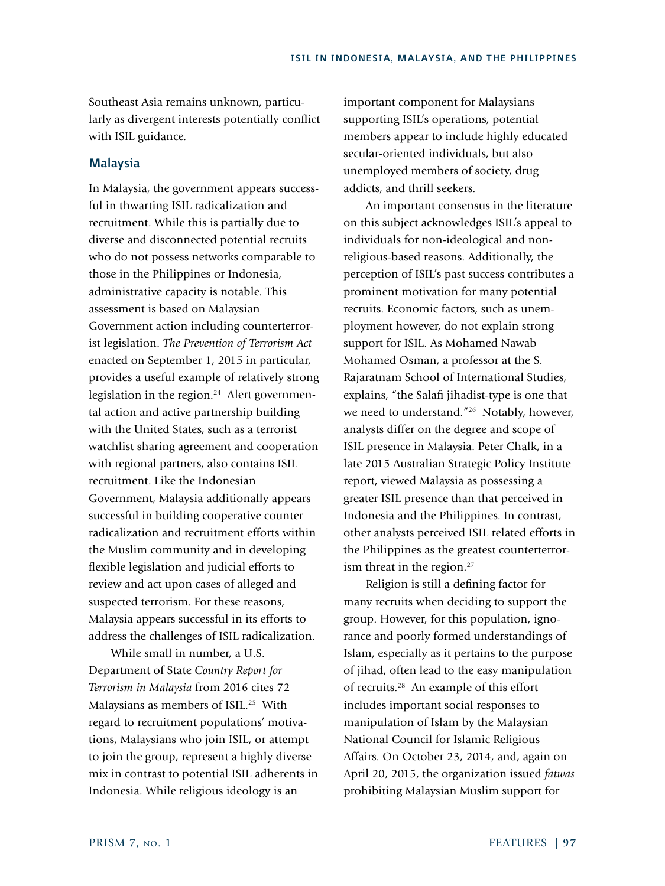Southeast Asia remains unknown, particularly as divergent interests potentially conflict with ISIL guidance.

## **Malaysia**

In Malaysia, the government appears successful in thwarting ISIL radicalization and recruitment. While this is partially due to diverse and disconnected potential recruits who do not possess networks comparable to those in the Philippines or Indonesia, administrative capacity is notable. This assessment is based on Malaysian Government action including counterterrorist legislation. *The Prevention of Terrorism Act* enacted on September 1, 2015 in particular, provides a useful example of relatively strong legislation in the region.<sup>24</sup> Alert governmental action and active partnership building with the United States, such as a terrorist watchlist sharing agreement and cooperation with regional partners, also contains ISIL recruitment. Like the Indonesian Government, Malaysia additionally appears successful in building cooperative counter radicalization and recruitment efforts within the Muslim community and in developing flexible legislation and judicial efforts to review and act upon cases of alleged and suspected terrorism. For these reasons, Malaysia appears successful in its efforts to address the challenges of ISIL radicalization.

While small in number, a U.S. Department of State *Country Report for Terrorism in Malaysia* from 2016 cites 72 Malaysians as members of ISIL.<sup>25</sup> With regard to recruitment populations' motivations, Malaysians who join ISIL, or attempt to join the group, represent a highly diverse mix in contrast to potential ISIL adherents in Indonesia. While religious ideology is an

important component for Malaysians supporting ISIL's operations, potential members appear to include highly educated secular-oriented individuals, but also unemployed members of society, drug addicts, and thrill seekers.

An important consensus in the literature on this subject acknowledges ISIL's appeal to individuals for non-ideological and nonreligious-based reasons. Additionally, the perception of ISIL's past success contributes a prominent motivation for many potential recruits. Economic factors, such as unemployment however, do not explain strong support for ISIL. As Mohamed Nawab Mohamed Osman, a professor at the S. Rajaratnam School of International Studies, explains, "the Salafi jihadist-type is one that we need to understand."<sup>26</sup> Notably, however, analysts differ on the degree and scope of ISIL presence in Malaysia. Peter Chalk, in a late 2015 Australian Strategic Policy Institute report, viewed Malaysia as possessing a greater ISIL presence than that perceived in Indonesia and the Philippines. In contrast, other analysts perceived ISIL related efforts in the Philippines as the greatest counterterrorism threat in the region.<sup>27</sup>

Religion is still a defining factor for many recruits when deciding to support the group. However, for this population, ignorance and poorly formed understandings of Islam, especially as it pertains to the purpose of jihad, often lead to the easy manipulation of recruits.28 An example of this effort includes important social responses to manipulation of Islam by the Malaysian National Council for Islamic Religious Affairs. On October 23, 2014, and, again on April 20, 2015, the organization issued *fatwas* prohibiting Malaysian Muslim support for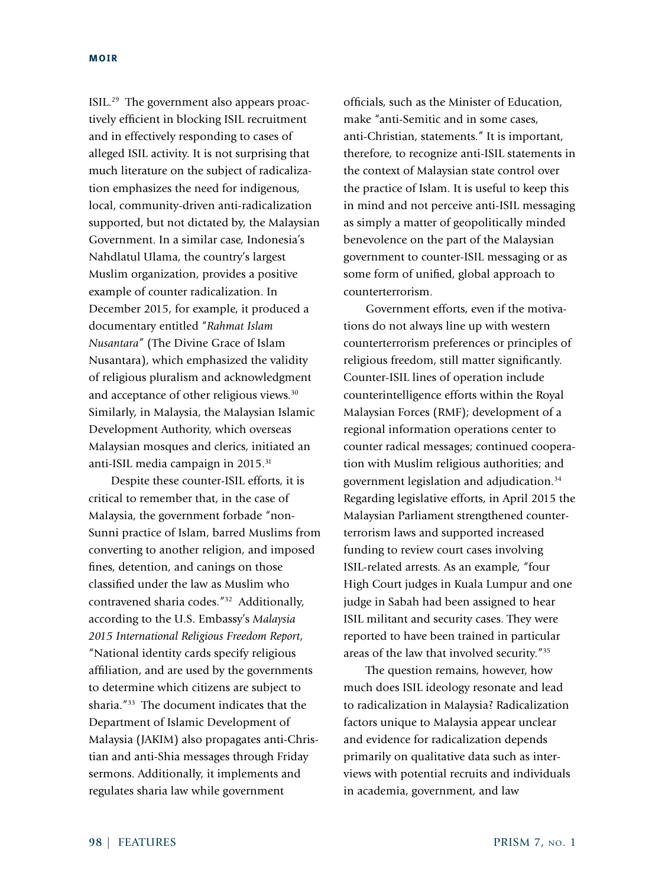ISIL.29 The government also appears proactively efficient in blocking ISIL recruitment and in effectively responding to cases of alleged ISIL activity. It is not surprising that much literature on the subject of radicalization emphasizes the need for indigenous, local, community-driven anti-radicalization supported, but not dictated by, the Malaysian Government. In a similar case, Indonesia's Nahdlatul Ulama, the country's largest Muslim organization, provides a positive example of counter radicalization. In December 2015, for example, it produced a documentary entitled "*Rahmat Islam Nusantara*" (The Divine Grace of Islam Nusantara), which emphasized the validity of religious pluralism and acknowledgment and acceptance of other religious views.30 Similarly, in Malaysia, the Malaysian Islamic Development Authority, which overseas Malaysian mosques and clerics, initiated an anti-ISIL media campaign in 2015.31

Despite these counter-ISIL efforts, it is critical to remember that, in the case of Malaysia, the government forbade "non-Sunni practice of Islam, barred Muslims from converting to another religion, and imposed fines, detention, and canings on those classified under the law as Muslim who contravened sharia codes."32 Additionally, according to the U.S. Embassy's *Malaysia 2015 International Religious Freedom Report*, "National identity cards specify religious affiliation, and are used by the governments to determine which citizens are subject to sharia."33 The document indicates that the Department of Islamic Development of Malaysia (JAKIM) also propagates anti-Christian and anti-Shia messages through Friday sermons. Additionally, it implements and regulates sharia law while government

officials, such as the Minister of Education, make "anti-Semitic and in some cases, anti-Christian, statements." It is important, therefore, to recognize anti-ISIL statements in the context of Malaysian state control over the practice of Islam. It is useful to keep this in mind and not perceive anti-ISIL messaging as simply a matter of geopolitically minded benevolence on the part of the Malaysian government to counter-ISIL messaging or as some form of unified, global approach to counterterrorism.

Government efforts, even if the motivations do not always line up with western counterterrorism preferences or principles of religious freedom, still matter significantly. Counter-ISIL lines of operation include counterintelligence efforts within the Royal Malaysian Forces (RMF); development of a regional information operations center to counter radical messages; continued cooperation with Muslim religious authorities; and government legislation and adjudication.34 Regarding legislative efforts, in April 2015 the Malaysian Parliament strengthened counterterrorism laws and supported increased funding to review court cases involving ISIL-related arrests. As an example, "four High Court judges in Kuala Lumpur and one judge in Sabah had been assigned to hear ISIL militant and security cases. They were reported to have been trained in particular areas of the law that involved security."35

The question remains, however, how much does ISIL ideology resonate and lead to radicalization in Malaysia? Radicalization factors unique to Malaysia appear unclear and evidence for radicalization depends primarily on qualitative data such as interviews with potential recruits and individuals in academia, government, and law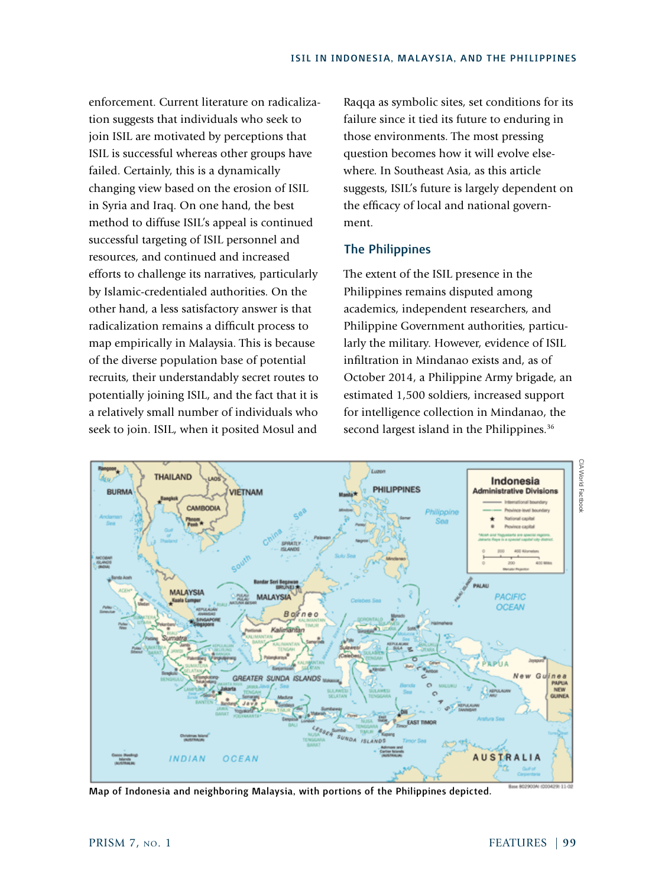enforcement. Current literature on radicalization suggests that individuals who seek to join ISIL are motivated by perceptions that ISIL is successful whereas other groups have failed. Certainly, this is a dynamically changing view based on the erosion of ISIL in Syria and Iraq. On one hand, the best method to diffuse ISIL's appeal is continued successful targeting of ISIL personnel and resources, and continued and increased efforts to challenge its narratives, particularly by Islamic-credentialed authorities. On the other hand, a less satisfactory answer is that radicalization remains a difficult process to map empirically in Malaysia. This is because of the diverse population base of potential recruits, their understandably secret routes to potentially joining ISIL, and the fact that it is a relatively small number of individuals who seek to join. ISIL, when it posited Mosul and

Raqqa as symbolic sites, set conditions for its failure since it tied its future to enduring in those environments. The most pressing question becomes how it will evolve elsewhere. In Southeast Asia, as this article suggests, ISIL's future is largely dependent on the efficacy of local and national government.

# The Philippines

The extent of the ISIL presence in the Philippines remains disputed among academics, independent researchers, and Philippine Government authorities, particularly the military. However, evidence of ISIL infiltration in Mindanao exists and, as of October 2014, a Philippine Army brigade, an estimated 1,500 soldiers, increased support for intelligence collection in Mindanao, the second largest island in the Philippines.<sup>36</sup>



Map of Indonesia and neighboring Malaysia, with portions of the Philippines depicted.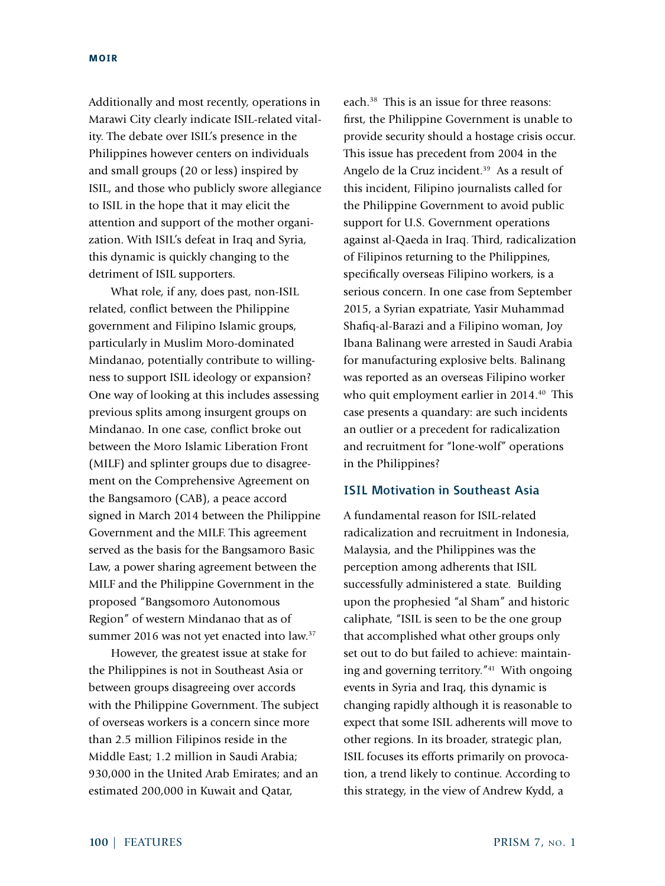Additionally and most recently, operations in Marawi City clearly indicate ISIL-related vitality. The debate over ISIL's presence in the Philippines however centers on individuals and small groups (20 or less) inspired by ISIL, and those who publicly swore allegiance to ISIL in the hope that it may elicit the attention and support of the mother organization. With ISIL's defeat in Iraq and Syria, this dynamic is quickly changing to the detriment of ISIL supporters.

What role, if any, does past, non-ISIL related, conflict between the Philippine government and Filipino Islamic groups, particularly in Muslim Moro-dominated Mindanao, potentially contribute to willingness to support ISIL ideology or expansion? One way of looking at this includes assessing previous splits among insurgent groups on Mindanao. In one case, conflict broke out between the Moro Islamic Liberation Front (MILF) and splinter groups due to disagreement on the Comprehensive Agreement on the Bangsamoro (CAB), a peace accord signed in March 2014 between the Philippine Government and the MILF. This agreement served as the basis for the Bangsamoro Basic Law, a power sharing agreement between the MILF and the Philippine Government in the proposed "Bangsomoro Autonomous Region" of western Mindanao that as of summer 2016 was not yet enacted into law.<sup>37</sup>

However, the greatest issue at stake for the Philippines is not in Southeast Asia or between groups disagreeing over accords with the Philippine Government. The subject of overseas workers is a concern since more than 2.5 million Filipinos reside in the Middle East; 1.2 million in Saudi Arabia; 930,000 in the United Arab Emirates; and an estimated 200,000 in Kuwait and Qatar,

each.38 This is an issue for three reasons: first, the Philippine Government is unable to provide security should a hostage crisis occur. This issue has precedent from 2004 in the Angelo de la Cruz incident.<sup>39</sup> As a result of this incident, Filipino journalists called for the Philippine Government to avoid public support for U.S. Government operations against al-Qaeda in Iraq. Third, radicalization of Filipinos returning to the Philippines, specifically overseas Filipino workers, is a serious concern. In one case from September 2015, a Syrian expatriate, Yasir Muhammad Shafiq-al-Barazi and a Filipino woman, Joy Ibana Balinang were arrested in Saudi Arabia for manufacturing explosive belts. Balinang was reported as an overseas Filipino worker who quit employment earlier in 2014.<sup>40</sup> This case presents a quandary: are such incidents an outlier or a precedent for radicalization and recruitment for "lone-wolf" operations in the Philippines?

# ISIL Motivation in Southeast Asia

A fundamental reason for ISIL-related radicalization and recruitment in Indonesia, Malaysia, and the Philippines was the perception among adherents that ISIL successfully administered a state. Building upon the prophesied "al Sham" and historic caliphate, "ISIL is seen to be the one group that accomplished what other groups only set out to do but failed to achieve: maintaining and governing territory."41 With ongoing events in Syria and Iraq, this dynamic is changing rapidly although it is reasonable to expect that some ISIL adherents will move to other regions. In its broader, strategic plan, ISIL focuses its efforts primarily on provocation, a trend likely to continue. According to this strategy, in the view of Andrew Kydd, a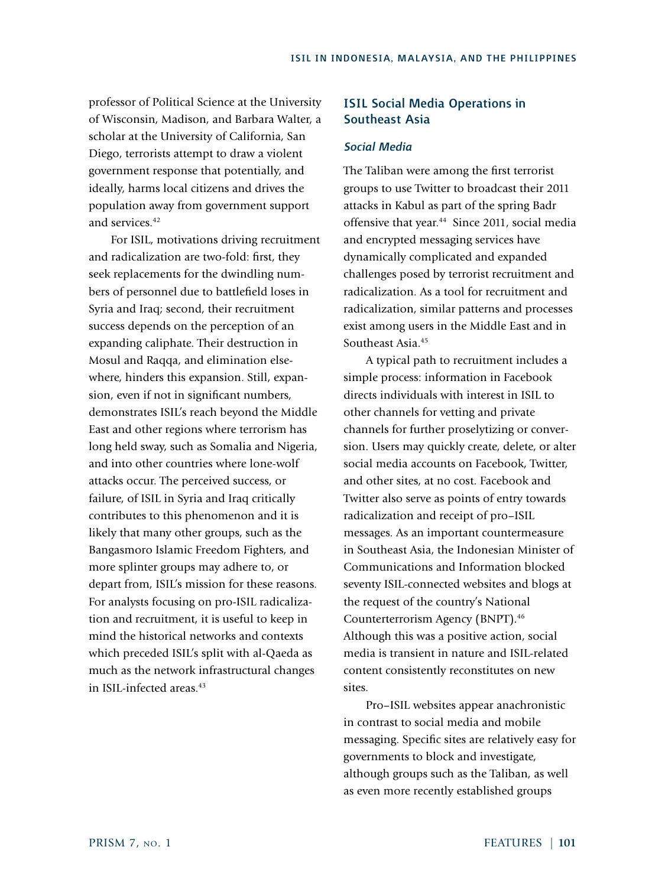professor of Political Science at the University of Wisconsin, Madison, and Barbara Walter, a scholar at the University of California, San Diego, terrorists attempt to draw a violent government response that potentially, and ideally, harms local citizens and drives the population away from government support and services<sup>42</sup>

For ISIL, motivations driving recruitment and radicalization are two-fold: first, they seek replacements for the dwindling numbers of personnel due to battlefield loses in Syria and Iraq; second, their recruitment success depends on the perception of an expanding caliphate. Their destruction in Mosul and Raqqa, and elimination elsewhere, hinders this expansion. Still, expansion, even if not in significant numbers, demonstrates ISIL's reach beyond the Middle East and other regions where terrorism has long held sway, such as Somalia and Nigeria, and into other countries where lone-wolf attacks occur. The perceived success, or failure, of ISIL in Syria and Iraq critically contributes to this phenomenon and it is likely that many other groups, such as the Bangasmoro Islamic Freedom Fighters, and more splinter groups may adhere to, or depart from, ISIL's mission for these reasons. For analysts focusing on pro-ISIL radicalization and recruitment, it is useful to keep in mind the historical networks and contexts which preceded ISIL's split with al-Qaeda as much as the network infrastructural changes in ISIL-infected areas<sup>43</sup>

# ISIL Social Media Operations in Southeast Asia

# *Social Media*

The Taliban were among the first terrorist groups to use Twitter to broadcast their 2011 attacks in Kabul as part of the spring Badr offensive that year.<sup>44</sup> Since 2011, social media and encrypted messaging services have dynamically complicated and expanded challenges posed by terrorist recruitment and radicalization. As a tool for recruitment and radicalization, similar patterns and processes exist among users in the Middle East and in Southeast Asia.<sup>45</sup>

A typical path to recruitment includes a simple process: information in Facebook directs individuals with interest in ISIL to other channels for vetting and private channels for further proselytizing or conversion. Users may quickly create, delete, or alter social media accounts on Facebook, Twitter, and other sites, at no cost. Facebook and Twitter also serve as points of entry towards radicalization and receipt of pro–ISIL messages. As an important countermeasure in Southeast Asia, the Indonesian Minister of Communications and Information blocked seventy ISIL-connected websites and blogs at the request of the country's National Counterterrorism Agency (BNPT).46 Although this was a positive action, social media is transient in nature and ISIL-related content consistently reconstitutes on new sites.

Pro–ISIL websites appear anachronistic in contrast to social media and mobile messaging. Specific sites are relatively easy for governments to block and investigate, although groups such as the Taliban, as well as even more recently established groups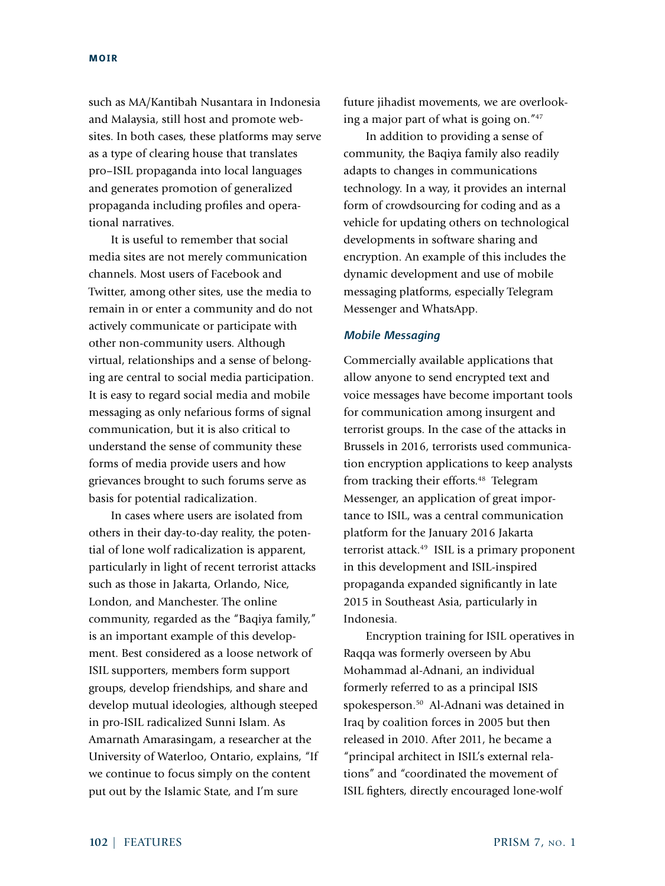such as MA/Kantibah Nusantara in Indonesia and Malaysia, still host and promote websites. In both cases, these platforms may serve as a type of clearing house that translates pro–ISIL propaganda into local languages and generates promotion of generalized propaganda including profiles and operational narratives.

It is useful to remember that social media sites are not merely communication channels. Most users of Facebook and Twitter, among other sites, use the media to remain in or enter a community and do not actively communicate or participate with other non-community users. Although virtual, relationships and a sense of belonging are central to social media participation. It is easy to regard social media and mobile messaging as only nefarious forms of signal communication, but it is also critical to understand the sense of community these forms of media provide users and how grievances brought to such forums serve as basis for potential radicalization.

In cases where users are isolated from others in their day-to-day reality, the potential of lone wolf radicalization is apparent, particularly in light of recent terrorist attacks such as those in Jakarta, Orlando, Nice, London, and Manchester. The online community, regarded as the "Baqiya family," is an important example of this development. Best considered as a loose network of ISIL supporters, members form support groups, develop friendships, and share and develop mutual ideologies, although steeped in pro-ISIL radicalized Sunni Islam. As Amarnath Amarasingam, a researcher at the University of Waterloo, Ontario, explains, "If we continue to focus simply on the content put out by the Islamic State, and I'm sure

future jihadist movements, we are overlooking a major part of what is going on."47

In addition to providing a sense of community, the Baqiya family also readily adapts to changes in communications technology. In a way, it provides an internal form of crowdsourcing for coding and as a vehicle for updating others on technological developments in software sharing and encryption. An example of this includes the dynamic development and use of mobile messaging platforms, especially Telegram Messenger and WhatsApp.

### *Mobile Messaging*

Commercially available applications that allow anyone to send encrypted text and voice messages have become important tools for communication among insurgent and terrorist groups. In the case of the attacks in Brussels in 2016, terrorists used communication encryption applications to keep analysts from tracking their efforts.<sup>48</sup> Telegram Messenger, an application of great importance to ISIL, was a central communication platform for the January 2016 Jakarta terrorist attack.49 ISIL is a primary proponent in this development and ISIL-inspired propaganda expanded significantly in late 2015 in Southeast Asia, particularly in Indonesia.

Encryption training for ISIL operatives in Raqqa was formerly overseen by Abu Mohammad al-Adnani, an individual formerly referred to as a principal ISIS spokesperson.50 Al-Adnani was detained in Iraq by coalition forces in 2005 but then released in 2010. After 2011, he became a "principal architect in ISIL's external relations" and "coordinated the movement of ISIL fighters, directly encouraged lone-wolf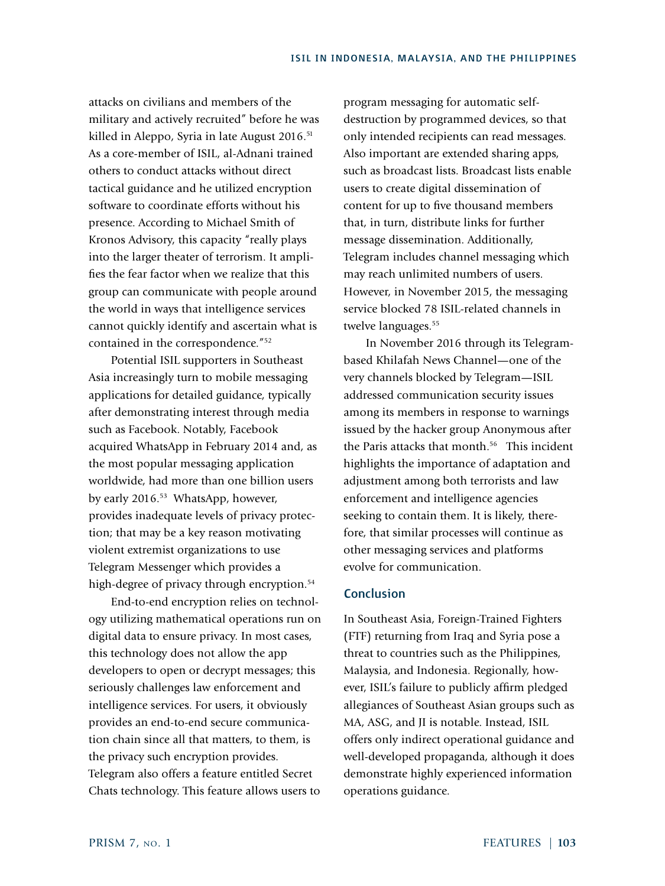attacks on civilians and members of the military and actively recruited" before he was killed in Aleppo, Syria in late August 2016.<sup>51</sup> As a core-member of ISIL, al-Adnani trained others to conduct attacks without direct tactical guidance and he utilized encryption software to coordinate efforts without his presence. According to Michael Smith of Kronos Advisory, this capacity "really plays into the larger theater of terrorism. It amplifies the fear factor when we realize that this group can communicate with people around the world in ways that intelligence services cannot quickly identify and ascertain what is contained in the correspondence."52

Potential ISIL supporters in Southeast Asia increasingly turn to mobile messaging applications for detailed guidance, typically after demonstrating interest through media such as Facebook. Notably, Facebook acquired WhatsApp in February 2014 and, as the most popular messaging application worldwide, had more than one billion users by early 2016.<sup>53</sup> WhatsApp, however, provides inadequate levels of privacy protection; that may be a key reason motivating violent extremist organizations to use Telegram Messenger which provides a high-degree of privacy through encryption.<sup>54</sup>

End-to-end encryption relies on technology utilizing mathematical operations run on digital data to ensure privacy. In most cases, this technology does not allow the app developers to open or decrypt messages; this seriously challenges law enforcement and intelligence services. For users, it obviously provides an end-to-end secure communication chain since all that matters, to them, is the privacy such encryption provides. Telegram also offers a feature entitled Secret Chats technology. This feature allows users to

program messaging for automatic selfdestruction by programmed devices, so that only intended recipients can read messages. Also important are extended sharing apps, such as broadcast lists. Broadcast lists enable users to create digital dissemination of content for up to five thousand members that, in turn, distribute links for further message dissemination. Additionally, Telegram includes channel messaging which may reach unlimited numbers of users. However, in November 2015, the messaging service blocked 78 ISIL-related channels in twelve languages.<sup>55</sup>

In November 2016 through its Telegrambased Khilafah News Channel—one of the very channels blocked by Telegram—ISIL addressed communication security issues among its members in response to warnings issued by the hacker group Anonymous after the Paris attacks that month.<sup>56</sup> This incident highlights the importance of adaptation and adjustment among both terrorists and law enforcement and intelligence agencies seeking to contain them. It is likely, therefore, that similar processes will continue as other messaging services and platforms evolve for communication.

## **Conclusion**

In Southeast Asia, Foreign-Trained Fighters (FTF) returning from Iraq and Syria pose a threat to countries such as the Philippines, Malaysia, and Indonesia. Regionally, however, ISIL's failure to publicly affirm pledged allegiances of Southeast Asian groups such as MA, ASG, and JI is notable. Instead, ISIL offers only indirect operational guidance and well-developed propaganda, although it does demonstrate highly experienced information operations guidance.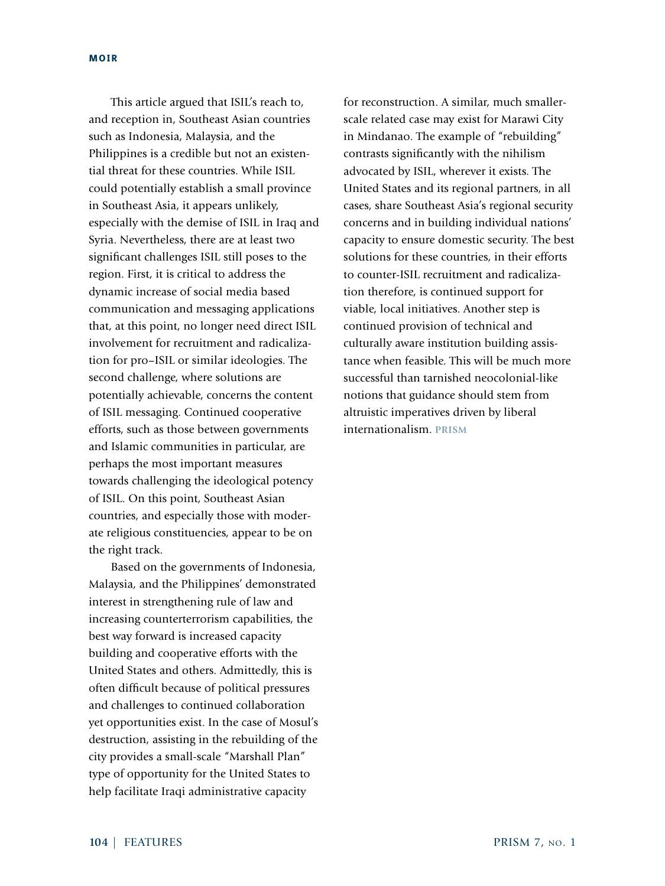This article argued that ISIL's reach to, and reception in, Southeast Asian countries such as Indonesia, Malaysia, and the Philippines is a credible but not an existential threat for these countries. While ISIL could potentially establish a small province in Southeast Asia, it appears unlikely, especially with the demise of ISIL in Iraq and Syria. Nevertheless, there are at least two significant challenges ISIL still poses to the region. First, it is critical to address the dynamic increase of social media based communication and messaging applications that, at this point, no longer need direct ISIL involvement for recruitment and radicalization for pro–ISIL or similar ideologies. The second challenge, where solutions are potentially achievable, concerns the content of ISIL messaging. Continued cooperative efforts, such as those between governments and Islamic communities in particular, are perhaps the most important measures towards challenging the ideological potency of ISIL. On this point, Southeast Asian countries, and especially those with moderate religious constituencies, appear to be on the right track.

Based on the governments of Indonesia, Malaysia, and the Philippines' demonstrated interest in strengthening rule of law and increasing counterterrorism capabilities, the best way forward is increased capacity building and cooperative efforts with the United States and others. Admittedly, this is often difficult because of political pressures and challenges to continued collaboration yet opportunities exist. In the case of Mosul's destruction, assisting in the rebuilding of the city provides a small-scale "Marshall Plan" type of opportunity for the United States to help facilitate Iraqi administrative capacity

for reconstruction. A similar, much smallerscale related case may exist for Marawi City in Mindanao. The example of "rebuilding" contrasts significantly with the nihilism advocated by ISIL, wherever it exists. The United States and its regional partners, in all cases, share Southeast Asia's regional security concerns and in building individual nations' capacity to ensure domestic security. The best solutions for these countries, in their efforts to counter-ISIL recruitment and radicalization therefore, is continued support for viable, local initiatives. Another step is continued provision of technical and culturally aware institution building assistance when feasible. This will be much more successful than tarnished neocolonial-like notions that guidance should stem from altruistic imperatives driven by liberal internationalism. **PRISM**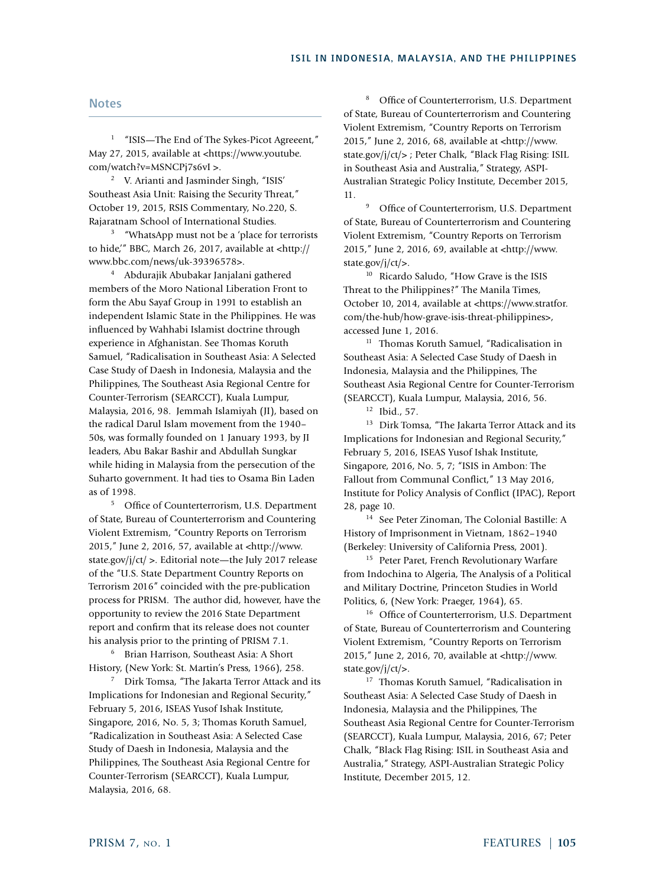#### Notes

<sup>1</sup> "ISIS—The End of The Sykes-Picot Agreeent," May 27, 2015, available at <https://www.youtube. com/watch?v=MSNCPj7s6vI >.

<sup>2</sup> V. Arianti and Jasminder Singh, "ISIS' Southeast Asia Unit: Raising the Security Threat," October 19, 2015, RSIS Commentary, No.220, S. Rajaratnam School of International Studies.

<sup>3</sup> "WhatsApp must not be a 'place for terrorists to hide,'" BBC, March 26, 2017, available at <http:// www.bbc.com/news/uk-39396578>.

<sup>4</sup> Abdurajik Abubakar Janjalani gathered members of the Moro National Liberation Front to form the Abu Sayaf Group in 1991 to establish an independent Islamic State in the Philippines. He was influenced by Wahhabi Islamist doctrine through experience in Afghanistan. See Thomas Koruth Samuel, "Radicalisation in Southeast Asia: A Selected Case Study of Daesh in Indonesia, Malaysia and the Philippines, The Southeast Asia Regional Centre for Counter-Terrorism (SEARCCT), Kuala Lumpur, Malaysia, 2016, 98. Jemmah Islamiyah (JI), based on the radical Darul Islam movement from the 1940– 50s, was formally founded on 1 January 1993, by JI leaders, Abu Bakar Bashir and Abdullah Sungkar while hiding in Malaysia from the persecution of the Suharto government. It had ties to Osama Bin Laden as of 1998.

<sup>5</sup> Office of Counterterrorism, U.S. Department of State, Bureau of Counterterrorism and Countering Violent Extremism, "Country Reports on Terrorism 2015," June 2, 2016, 57, available at <http://www. state.gov/j/ct/ >. Editorial note—the July 2017 release of the "U.S. State Department Country Reports on Terrorism 2016" coincided with the pre-publication process for PRISM. The author did, however, have the opportunity to review the 2016 State Department report and confirm that its release does not counter his analysis prior to the printing of PRISM 7.1.

<sup>6</sup> Brian Harrison, Southeast Asia: A Short History, (New York: St. Martin's Press, 1966), 258.

<sup>7</sup> Dirk Tomsa, "The Jakarta Terror Attack and its Implications for Indonesian and Regional Security," February 5, 2016, ISEAS Yusof Ishak Institute, Singapore, 2016, No. 5, 3; Thomas Koruth Samuel, "Radicalization in Southeast Asia: A Selected Case Study of Daesh in Indonesia, Malaysia and the Philippines, The Southeast Asia Regional Centre for Counter-Terrorism (SEARCCT), Kuala Lumpur, Malaysia, 2016, 68.

<sup>8</sup> Office of Counterterrorism, U.S. Department of State, Bureau of Counterterrorism and Countering Violent Extremism, "Country Reports on Terrorism 2015," June 2, 2016, 68, available at <http://www. state.gov/j/ct/> ; Peter Chalk, "Black Flag Rising: ISIL in Southeast Asia and Australia," Strategy, ASPI-Australian Strategic Policy Institute, December 2015, 11.

<sup>9</sup> Office of Counterterrorism, U.S. Department of State, Bureau of Counterterrorism and Countering Violent Extremism, "Country Reports on Terrorism 2015," June 2, 2016, 69, available at <http://www. state.gov/j/ct/>.

<sup>10</sup> Ricardo Saludo, "How Grave is the ISIS Threat to the Philippines?" The Manila Times, October 10, 2014, available at <https://www.stratfor. com/the-hub/how-grave-isis-threat-philippines>, accessed June 1, 2016.

<sup>11</sup> Thomas Koruth Samuel, "Radicalisation in Southeast Asia: A Selected Case Study of Daesh in Indonesia, Malaysia and the Philippines, The Southeast Asia Regional Centre for Counter-Terrorism (SEARCCT), Kuala Lumpur, Malaysia, 2016, 56.

<sup>12</sup> Ibid., 57.

<sup>13</sup> Dirk Tomsa, "The Jakarta Terror Attack and its Implications for Indonesian and Regional Security," February 5, 2016, ISEAS Yusof Ishak Institute, Singapore, 2016, No. 5, 7; "ISIS in Ambon: The Fallout from Communal Conflict," 13 May 2016, Institute for Policy Analysis of Conflict (IPAC), Report 28, page 10.

<sup>14</sup> See Peter Zinoman, The Colonial Bastille: A History of Imprisonment in Vietnam, 1862–1940 (Berkeley: University of California Press, 2001).

<sup>15</sup> Peter Paret, French Revolutionary Warfare from Indochina to Algeria, The Analysis of a Political and Military Doctrine, Princeton Studies in World Politics, 6, (New York: Praeger, 1964), 65.

<sup>16</sup> Office of Counterterrorism, U.S. Department of State, Bureau of Counterterrorism and Countering Violent Extremism, "Country Reports on Terrorism 2015," June 2, 2016, 70, available at <http://www. state.gov/j/ct/>.

<sup>17</sup> Thomas Koruth Samuel, "Radicalisation in Southeast Asia: A Selected Case Study of Daesh in Indonesia, Malaysia and the Philippines, The Southeast Asia Regional Centre for Counter-Terrorism (SEARCCT), Kuala Lumpur, Malaysia, 2016, 67; Peter Chalk, "Black Flag Rising: ISIL in Southeast Asia and Australia," Strategy, ASPI-Australian Strategic Policy Institute, December 2015, 12.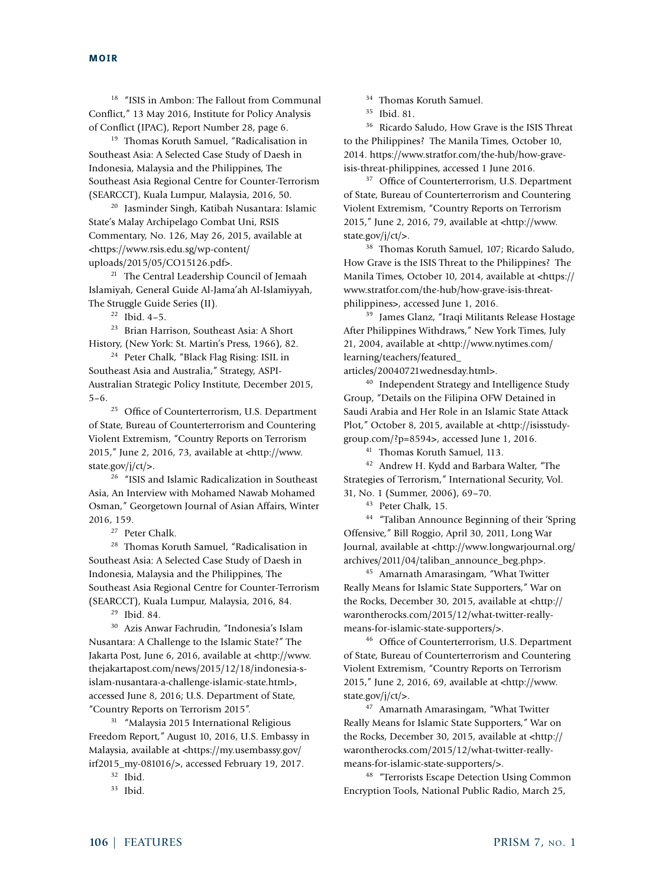<sup>18</sup> "ISIS in Ambon: The Fallout from Communal Conflict," 13 May 2016, Institute for Policy Analysis of Conflict (IPAC), Report Number 28, page 6.

<sup>19</sup> Thomas Koruth Samuel, "Radicalisation in Southeast Asia: A Selected Case Study of Daesh in Indonesia, Malaysia and the Philippines, The Southeast Asia Regional Centre for Counter-Terrorism (SEARCCT), Kuala Lumpur, Malaysia, 2016, 50.

<sup>20</sup> Jasminder Singh, Katibah Nusantara: Islamic State's Malay Archipelago Combat Uni, RSIS Commentary, No. 126, May 26, 2015, available at <https://www.rsis.edu.sg/wp-content/ uploads/2015/05/CO15126.pdf>.

<sup>21</sup> The Central Leadership Council of Jemaah Islamiyah, General Guide Al-Jama'ah Al-Islamiyyah, The Struggle Guide Series (II).

 $22$  Ibid.  $4-5$ .

<sup>23</sup> Brian Harrison, Southeast Asia: A Short History, (New York: St. Martin's Press, 1966), 82.

<sup>24</sup> Peter Chalk, "Black Flag Rising: ISIL in Southeast Asia and Australia," Strategy, ASPI-Australian Strategic Policy Institute, December 2015, 5–6.

<sup>25</sup> Office of Counterterrorism, U.S. Department of State, Bureau of Counterterrorism and Countering Violent Extremism, "Country Reports on Terrorism 2015," June 2, 2016, 73, available at <http://www. state.gov/j/ct/>.

<sup>26</sup> "ISIS and Islamic Radicalization in Southeast Asia, An Interview with Mohamed Nawab Mohamed Osman," Georgetown Journal of Asian Affairs, Winter 2016, 159.

<sup>27</sup> Peter Chalk.

<sup>28</sup> Thomas Koruth Samuel, "Radicalisation in Southeast Asia: A Selected Case Study of Daesh in Indonesia, Malaysia and the Philippines, The Southeast Asia Regional Centre for Counter-Terrorism (SEARCCT), Kuala Lumpur, Malaysia, 2016, 84.

<sup>29</sup> Ibid. 84.

<sup>30</sup> Azis Anwar Fachrudin, "Indonesia's Islam Nusantara: A Challenge to the Islamic State?" The Jakarta Post, June 6, 2016, available at <http://www. thejakartapost.com/news/2015/12/18/indonesia-sislam-nusantara-a-challenge-islamic-state.html>, accessed June 8, 2016; U.S. Department of State, "Country Reports on Terrorism 2015".

<sup>31</sup> "Malaysia 2015 International Religious Freedom Report," August 10, 2016, U.S. Embassy in Malaysia, available at <https://my.usembassy.gov/ irf2015\_my-081016/>, accessed February 19, 2017.

<sup>32</sup> Ibid.

<sup>33</sup> Ibid.

<sup>34</sup> Thomas Koruth Samuel.

<sup>35</sup> Ibid. 81.

<sup>36</sup> Ricardo Saludo, How Grave is the ISIS Threat to the Philippines? The Manila Times, October 10, 2014. https://www.stratfor.com/the-hub/how-graveisis-threat-philippines, accessed 1 June 2016.

<sup>37</sup> Office of Counterterrorism, U.S. Department of State, Bureau of Counterterrorism and Countering Violent Extremism, "Country Reports on Terrorism 2015," June 2, 2016, 79, available at <http://www. state.gov/j/ct/>.

<sup>38</sup> Thomas Koruth Samuel, 107; Ricardo Saludo, How Grave is the ISIS Threat to the Philippines? The Manila Times, October 10, 2014, available at <https:// www.stratfor.com/the-hub/how-grave-isis-threatphilippines>, accessed June 1, 2016.

<sup>39</sup> James Glanz, "Iraqi Militants Release Hostage After Philippines Withdraws," New York Times, July 21, 2004, available at <http://www.nytimes.com/ learning/teachers/featured\_

articles/20040721wednesday.html>.

<sup>40</sup> Independent Strategy and Intelligence Study Group, "Details on the Filipina OFW Detained in Saudi Arabia and Her Role in an Islamic State Attack Plot," October 8, 2015, available at <http://isisstudygroup.com/?p=8594>, accessed June 1, 2016.

<sup>41</sup> Thomas Koruth Samuel, 113.

<sup>42</sup> Andrew H. Kydd and Barbara Walter, "The Strategies of Terrorism," International Security, Vol. 31, No. 1 (Summer, 2006), 69–70.

<sup>43</sup> Peter Chalk, 15.

<sup>44</sup> "Taliban Announce Beginning of their 'Spring Offensive," Bill Roggio, April 30, 2011, Long War Journal, available at <http://www.longwarjournal.org/ archives/2011/04/taliban\_announce\_beg.php>.

<sup>45</sup> Amarnath Amarasingam, "What Twitter Really Means for Islamic State Supporters," War on the Rocks, December 30, 2015, available at <http:// warontherocks.com/2015/12/what-twitter-reallymeans-for-islamic-state-supporters/>.

<sup>46</sup> Office of Counterterrorism, U.S. Department of State, Bureau of Counterterrorism and Countering Violent Extremism, "Country Reports on Terrorism 2015," June 2, 2016, 69, available at <http://www. state.gov/j/ct/>.

<sup>47</sup> Amarnath Amarasingam, "What Twitter Really Means for Islamic State Supporters," War on the Rocks, December 30, 2015, available at <http:// warontherocks.com/2015/12/what-twitter-reallymeans-for-islamic-state-supporters/>.

<sup>48</sup> "Terrorists Escape Detection Using Common Encryption Tools, National Public Radio, March 25,